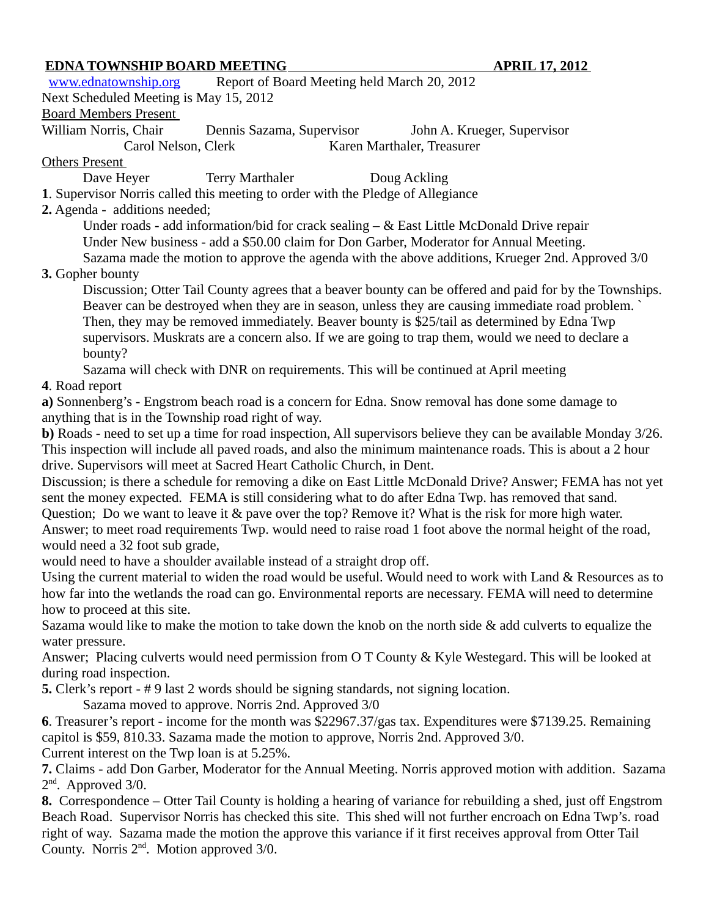## **EDNA TOWNSHIP BOARD MEETING APRIL 17, 2012**

[www.ednatownship.org](http://www.ednatownship.org/) Report of Board Meeting held March 20, 2012

Next Scheduled Meeting is May 15, 2012

# Board Members Present

William Norris, Chair Dennis Sazama, Supervisor John A. Krueger, Supervisor Carol Nelson, Clerk Karen Marthaler, Treasurer

## Others Present

Dave Heyer Terry Marthaler Doug Ackling

**1**. Supervisor Norris called this meeting to order with the Pledge of Allegiance

# **2.** Agenda - additions needed;

Under roads - add information/bid for crack sealing – & East Little McDonald Drive repair Under New business - add a \$50.00 claim for Don Garber, Moderator for Annual Meeting. Sazama made the motion to approve the agenda with the above additions, Krueger 2nd. Approved 3/0

# **3.** Gopher bounty

Discussion; Otter Tail County agrees that a beaver bounty can be offered and paid for by the Townships. Beaver can be destroyed when they are in season, unless they are causing immediate road problem. Then, they may be removed immediately. Beaver bounty is \$25/tail as determined by Edna Twp supervisors. Muskrats are a concern also. If we are going to trap them, would we need to declare a bounty?

Sazama will check with DNR on requirements. This will be continued at April meeting

# **4**. Road report

**a)** Sonnenberg's - Engstrom beach road is a concern for Edna. Snow removal has done some damage to anything that is in the Township road right of way.

**b)** Roads - need to set up a time for road inspection, All supervisors believe they can be available Monday 3/26. This inspection will include all paved roads, and also the minimum maintenance roads. This is about a 2 hour drive. Supervisors will meet at Sacred Heart Catholic Church, in Dent.

Discussion; is there a schedule for removing a dike on East Little McDonald Drive? Answer; FEMA has not yet sent the money expected. FEMA is still considering what to do after Edna Twp. has removed that sand. Question; Do we want to leave it & pave over the top? Remove it? What is the risk for more high water. Answer; to meet road requirements Twp. would need to raise road 1 foot above the normal height of the road, would need a 32 foot sub grade,

would need to have a shoulder available instead of a straight drop off.

Using the current material to widen the road would be useful. Would need to work with Land & Resources as to how far into the wetlands the road can go. Environmental reports are necessary. FEMA will need to determine how to proceed at this site.

Sazama would like to make the motion to take down the knob on the north side & add culverts to equalize the water pressure.

Answer; Placing culverts would need permission from O T County & Kyle Westegard. This will be looked at during road inspection.

**5.** Clerk's report - # 9 last 2 words should be signing standards, not signing location.

Sazama moved to approve. Norris 2nd. Approved 3/0

**6**. Treasurer's report - income for the month was \$22967.37/gas tax. Expenditures were \$7139.25. Remaining capitol is \$59, 810.33. Sazama made the motion to approve, Norris 2nd. Approved 3/0.

Current interest on the Twp loan is at 5.25%.

**7.** Claims - add Don Garber, Moderator for the Annual Meeting. Norris approved motion with addition. Sazama  $2<sup>nd</sup>$ . Approved 3/0.

**8.** Correspondence – Otter Tail County is holding a hearing of variance for rebuilding a shed, just off Engstrom Beach Road. Supervisor Norris has checked this site. This shed will not further encroach on Edna Twp's. road right of way. Sazama made the motion the approve this variance if it first receives approval from Otter Tail County. Norris  $2<sup>nd</sup>$ . Motion approved 3/0.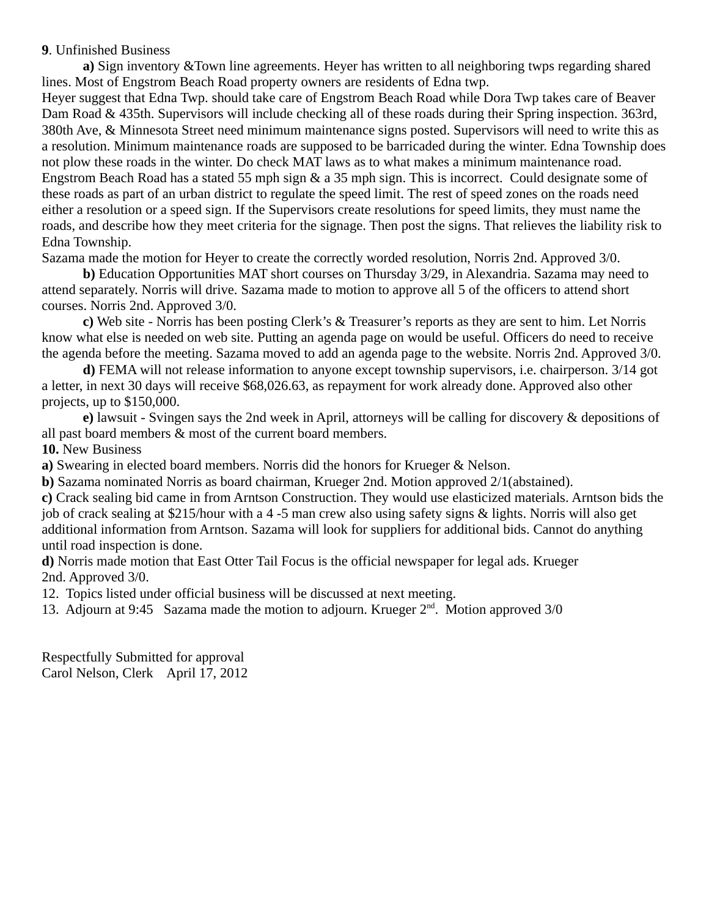**9**. Unfinished Business

**a)** Sign inventory &Town line agreements. Heyer has written to all neighboring twps regarding shared lines. Most of Engstrom Beach Road property owners are residents of Edna twp.

Heyer suggest that Edna Twp. should take care of Engstrom Beach Road while Dora Twp takes care of Beaver Dam Road & 435th. Supervisors will include checking all of these roads during their Spring inspection. 363rd, 380th Ave, & Minnesota Street need minimum maintenance signs posted. Supervisors will need to write this as a resolution. Minimum maintenance roads are supposed to be barricaded during the winter. Edna Township does not plow these roads in the winter. Do check MAT laws as to what makes a minimum maintenance road. Engstrom Beach Road has a stated 55 mph sign & a 35 mph sign. This is incorrect. Could designate some of these roads as part of an urban district to regulate the speed limit. The rest of speed zones on the roads need either a resolution or a speed sign. If the Supervisors create resolutions for speed limits, they must name the roads, and describe how they meet criteria for the signage. Then post the signs. That relieves the liability risk to Edna Township.

Sazama made the motion for Heyer to create the correctly worded resolution, Norris 2nd. Approved 3/0.

**b)** Education Opportunities MAT short courses on Thursday 3/29, in Alexandria. Sazama may need to attend separately. Norris will drive. Sazama made to motion to approve all 5 of the officers to attend short courses. Norris 2nd. Approved 3/0.

**c)** Web site - Norris has been posting Clerk's & Treasurer's reports as they are sent to him. Let Norris know what else is needed on web site. Putting an agenda page on would be useful. Officers do need to receive the agenda before the meeting. Sazama moved to add an agenda page to the website. Norris 2nd. Approved 3/0.

**d)** FEMA will not release information to anyone except township supervisors, i.e. chairperson. 3/14 got a letter, in next 30 days will receive \$68,026.63, as repayment for work already done. Approved also other projects, up to \$150,000.

**e)** lawsuit - Svingen says the 2nd week in April, attorneys will be calling for discovery & depositions of all past board members & most of the current board members.

**10.** New Business

**a)** Swearing in elected board members. Norris did the honors for Krueger & Nelson.

**b)** Sazama nominated Norris as board chairman, Krueger 2nd. Motion approved 2/1(abstained).

**c)** Crack sealing bid came in from Arntson Construction. They would use elasticized materials. Arntson bids the job of crack sealing at \$215/hour with a 4 -5 man crew also using safety signs & lights. Norris will also get additional information from Arntson. Sazama will look for suppliers for additional bids. Cannot do anything until road inspection is done.

**d)** Norris made motion that East Otter Tail Focus is the official newspaper for legal ads. Krueger 2nd. Approved 3/0.

12. Topics listed under official business will be discussed at next meeting.

13. Adjourn at 9:45 Sazama made the motion to adjourn. Krueger  $2<sup>nd</sup>$ . Motion approved  $3/0$ 

Respectfully Submitted for approval Carol Nelson, Clerk April 17, 2012